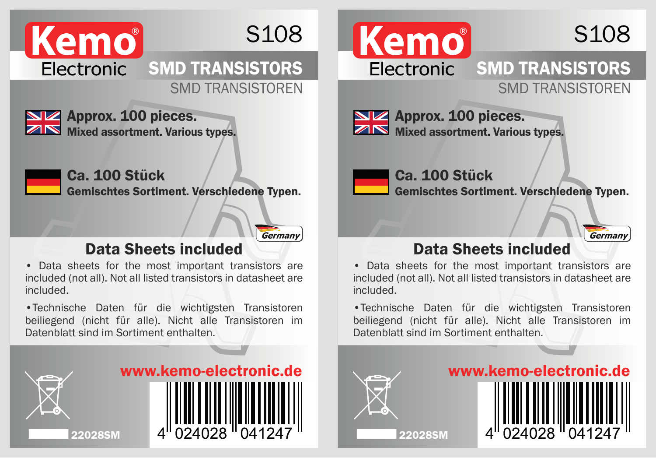

## S108



Approx. 100 pieces. Mixed assortment. Various types.



Ca. 100 Stück

Gemischtes Sortiment. Verschiedene Typen.

Germany

## Data Sheets included

• Data sheets for the most important transistors are included (not all). Not all listed transistors in datasheet are included.

•Technische Daten für die wichtigsten Transistoren beiliegend (nicht für alle). Nicht alle Transistoren im Datenblatt sind im Sortiment enthalten.









**NV** Approx. 100 pieces. **ZIN** Mixed assortment. Various types.

Ca. 100 Stück Gemischtes Sortiment. Verschiedene Typen.

## Germany

## Data Sheets included

• Data sheets for the most important transistors are included (not all). Not all listed transistors in datasheet are included.

•Technische Daten für die wichtigsten Transistoren beiliegend (nicht für alle). Nicht alle Transistoren im Datenblatt sind im Sortiment enthalten.